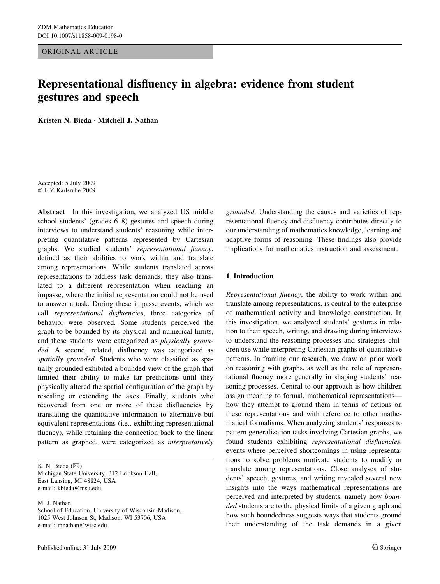ORIGINAL ARTICLE

# Representational disfluency in algebra: evidence from student gestures and speech

Kristen N. Bieda · Mitchell J. Nathan

Accepted: 5 July 2009 FIZ Karlsruhe 2009

Abstract In this investigation, we analyzed US middle school students' (grades 6–8) gestures and speech during interviews to understand students' reasoning while interpreting quantitative patterns represented by Cartesian graphs. We studied students' representational fluency, defined as their abilities to work within and translate among representations. While students translated across representations to address task demands, they also translated to a different representation when reaching an impasse, where the initial representation could not be used to answer a task. During these impasse events, which we call representational disfluencies, three categories of behavior were observed. Some students perceived the graph to be bounded by its physical and numerical limits, and these students were categorized as physically grounded. A second, related, disfluency was categorized as spatially grounded. Students who were classified as spatially grounded exhibited a bounded view of the graph that limited their ability to make far predictions until they physically altered the spatial configuration of the graph by rescaling or extending the axes. Finally, students who recovered from one or more of these disfluencies by translating the quantitative information to alternative but equivalent representations (i.e., exhibiting representational fluency), while retaining the connection back to the linear pattern as graphed, were categorized as interpretatively

K. N. Bieda  $(\boxtimes)$ Michigan State University, 312 Erickson Hall, East Lansing, MI 48824, USA e-mail: kbieda@msu.edu

M. J. Nathan

School of Education, University of Wisconsin-Madison, 1025 West Johnson St, Madison, WI 53706, USA e-mail: mnathan@wisc.edu

grounded. Understanding the causes and varieties of representational fluency and disfluency contributes directly to our understanding of mathematics knowledge, learning and adaptive forms of reasoning. These findings also provide implications for mathematics instruction and assessment.

#### 1 Introduction

Representational fluency, the ability to work within and translate among representations, is central to the enterprise of mathematical activity and knowledge construction. In this investigation, we analyzed students' gestures in relation to their speech, writing, and drawing during interviews to understand the reasoning processes and strategies children use while interpreting Cartesian graphs of quantitative patterns. In framing our research, we draw on prior work on reasoning with graphs, as well as the role of representational fluency more generally in shaping students' reasoning processes. Central to our approach is how children assign meaning to formal, mathematical representations how they attempt to ground them in terms of actions on these representations and with reference to other mathematical formalisms. When analyzing students' responses to pattern generalization tasks involving Cartesian graphs, we found students exhibiting representational disfluencies, events where perceived shortcomings in using representations to solve problems motivate students to modify or translate among representations. Close analyses of students' speech, gestures, and writing revealed several new insights into the ways mathematical representations are perceived and interpreted by students, namely how bounded students are to the physical limits of a given graph and how such boundedness suggests ways that students ground their understanding of the task demands in a given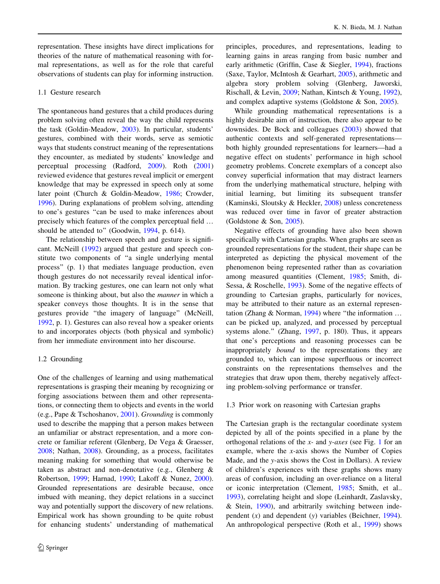representation. These insights have direct implications for theories of the nature of mathematical reasoning with formal representations, as well as for the role that careful observations of students can play for informing instruction.

#### 1.1 Gesture research

The spontaneous hand gestures that a child produces during problem solving often reveal the way the child represents the task (Goldin-Meadow, [2003\)](#page-13-0). In particular, students' gestures, combined with their words, serve as semiotic ways that students construct meaning of the representations they encounter, as mediated by students' knowledge and perceptual processing (Radford, [2009\)](#page-13-0). Roth ([2001\)](#page-13-0) reviewed evidence that gestures reveal implicit or emergent knowledge that may be expressed in speech only at some later point (Church & Goldin-Meadow, [1986;](#page-12-0) Crowder, [1996\)](#page-12-0). During explanations of problem solving, attending to one's gestures ''can be used to make inferences about precisely which features of the complex perceptual field … should be attended to'' (Goodwin, [1994,](#page-13-0) p. 614).

The relationship between speech and gesture is significant. McNeill ([1992\)](#page-13-0) argued that gesture and speech constitute two components of ''a single underlying mental process'' (p. 1) that mediates language production, even though gestures do not necessarily reveal identical information. By tracking gestures, one can learn not only what someone is thinking about, but also the manner in which a speaker conveys those thoughts. It is in the sense that gestures provide ''the imagery of language'' (McNeill, [1992,](#page-13-0) p. 1). Gestures can also reveal how a speaker orients to and incorporates objects (both physical and symbolic) from her immediate environment into her discourse.

#### 1.2 Grounding

One of the challenges of learning and using mathematical representations is grasping their meaning by recognizing or forging associations between them and other representations, or connecting them to objects and events in the world (e.g., Pape & Tschoshanov, [2001](#page-13-0)). Grounding is commonly used to describe the mapping that a person makes between an unfamiliar or abstract representation, and a more concrete or familiar referent (Glenberg, De Vega & Graesser, [2008;](#page-13-0) Nathan, [2008](#page-13-0)). Grounding, as a process, facilitates meaning making for something that would otherwise be taken as abstract and non-denotative (e.g., Glenberg & Robertson, [1999](#page-13-0); Harnad, [1990](#page-13-0); Lakoff & Nunez, [2000](#page-13-0)). Grounded representations are desirable because, once imbued with meaning, they depict relations in a succinct way and potentially support the discovery of new relations. Empirical work has shown grounding to be quite robust for enhancing students' understanding of mathematical

principles, procedures, and representations, leading to learning gains in areas ranging from basic number and early arithmetic (Griffin, Case & Siegler, [1994\)](#page-13-0), fractions (Saxe, Taylor, McIntosh & Gearhart, [2005\)](#page-13-0), arithmetic and algebra story problem solving (Glenberg, Jaworski, Rischall, & Levin, [2009;](#page-13-0) Nathan, Kintsch & Young, [1992](#page-13-0)), and complex adaptive systems (Goldstone & Son, [2005](#page-13-0)).

While grounding mathematical representations is a highly desirable aim of instruction, there also appear to be downsides. De Bock and colleagues [\(2003](#page-13-0)) showed that authentic contexts and self-generated representations both highly grounded representations for learners—had a negative effect on students' performance in high school geometry problems. Concrete exemplars of a concept also convey superficial information that may distract learners from the underlying mathematical structure, helping with initial learning, but limiting its subsequent transfer (Kaminski, Sloutsky & Heckler, [2008](#page-13-0)) unless concreteness was reduced over time in favor of greater abstraction (Goldstone & Son, [2005](#page-13-0)).

Negative effects of grounding have also been shown specifically with Cartesian graphs. When graphs are seen as grounded representations for the student, their shape can be interpreted as depicting the physical movement of the phenomenon being represented rather than as covariation among measured quantities (Clement, [1985;](#page-12-0) Smith, di-Sessa, & Roschelle, [1993](#page-13-0)). Some of the negative effects of grounding to Cartesian graphs, particularly for novices, may be attributed to their nature as an external representation (Zhang & Norman, [1994](#page-13-0)) where ''the information … can be picked up, analyzed, and processed by perceptual systems alone.'' (Zhang, [1997](#page-13-0), p. 180). Thus, it appears that one's perceptions and reasoning processes can be inappropriately bound to the representations they are grounded to, which can impose superfluous or incorrect constraints on the representations themselves and the strategies that draw upon them, thereby negatively affecting problem-solving performance or transfer.

#### 1.3 Prior work on reasoning with Cartesian graphs

The Cartesian graph is the rectangular coordinate system depicted by all of the points specified in a plane by the orthogonal relations of the  $x$ - and  $y$ -axes (see Fig. [1](#page-2-0) for an example, where the x-axis shows the Number of Copies Made, and the y-axis shows the Cost in Dollars). A review of children's experiences with these graphs shows many areas of confusion, including an over-reliance on a literal or iconic interpretation (Clement, [1985](#page-12-0); Smith, et al.. [1993](#page-13-0)), correlating height and slope (Leinhardt, Zaslavsky, & Stein, [1990\)](#page-13-0), and arbitrarily switching between independent (x) and dependent (y) variables (Beichner, [1994](#page-12-0)). An anthropological perspective (Roth et al., [1999](#page-13-0)) shows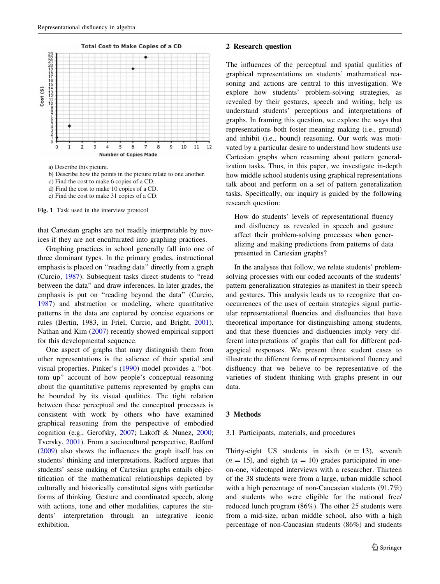<span id="page-2-0"></span>

a) Describe this picture.

b) Describe how the points in the picture relate to one another.

c) Find the cost to make 6 copies of a CD.

d) Find the cost to make 10 copies of a CD.

e) Find the cost to make 31 copies of a CD.

Fig. 1 Task used in the interview protocol

that Cartesian graphs are not readily interpretable by novices if they are not enculturated into graphing practices.

Graphing practices in school generally fall into one of three dominant types. In the primary grades, instructional emphasis is placed on ''reading data'' directly from a graph (Curcio, [1987\)](#page-13-0). Subsequent tasks direct students to ''read between the data'' and draw inferences. In later grades, the emphasis is put on ''reading beyond the data'' (Curcio, [1987\)](#page-13-0) and abstraction or modeling, where quantitative patterns in the data are captured by concise equations or rules (Bertin, 1983, in Friel, Curcio, and Bright, [2001](#page-13-0)). Nathan and Kim ([2007\)](#page-13-0) recently showed empirical support for this developmental sequence.

One aspect of graphs that may distinguish them from other representations is the salience of their spatial and visual properties. Pinker's [\(1990](#page-13-0)) model provides a ''bottom up'' account of how people's conceptual reasoning about the quantitative patterns represented by graphs can be bounded by its visual qualities. The tight relation between these perceptual and the conceptual processes is consistent with work by others who have examined graphical reasoning from the perspective of embodied cognition (e.g., Gerofsky, [2007](#page-13-0); Lakoff & Nunez, [2000](#page-13-0); Tversky, [2001](#page-13-0)). From a sociocultural perspective, Radford [\(2009](#page-13-0)) also shows the influences the graph itself has on students' thinking and interpretations. Radford argues that students' sense making of Cartesian graphs entails objectification of the mathematical relationships depicted by culturally and historically constituted signs with particular forms of thinking. Gesture and coordinated speech, along with actions, tone and other modalities, captures the students' interpretation through an integrative iconic exhibition.

#### 2 Research question

The influences of the perceptual and spatial qualities of graphical representations on students' mathematical reasoning and actions are central to this investigation. We explore how students' problem-solving strategies, as revealed by their gestures, speech and writing, help us understand students' perceptions and interpretations of graphs. In framing this question, we explore the ways that representations both foster meaning making (i.e., ground) and inhibit (i.e., bound) reasoning. Our work was motivated by a particular desire to understand how students use Cartesian graphs when reasoning about pattern generalization tasks. Thus, in this paper, we investigate in-depth how middle school students using graphical representations talk about and perform on a set of pattern generalization tasks. Specifically, our inquiry is guided by the following research question:

How do students' levels of representational fluency and disfluency as revealed in speech and gesture affect their problem-solving processes when generalizing and making predictions from patterns of data presented in Cartesian graphs?

In the analyses that follow, we relate students' problemsolving processes with our coded accounts of the students' pattern generalization strategies as manifest in their speech and gestures. This analysis leads us to recognize that cooccurrences of the uses of certain strategies signal particular representational fluencies and disfluencies that have theoretical importance for distinguishing among students, and that these fluencies and disfluencies imply very different interpretations of graphs that call for different pedagogical responses. We present three student cases to illustrate the different forms of representational fluency and disfluency that we believe to be representative of the varieties of student thinking with graphs present in our data.

#### 3 Methods

### 3.1 Participants, materials, and procedures

Thirty-eight US students in sixth  $(n = 13)$ , seventh  $(n = 15)$ , and eighth  $(n = 10)$  grades participated in oneon-one, videotaped interviews with a researcher. Thirteen of the 38 students were from a large, urban middle school with a high percentage of non-Caucasian students (91.7%) and students who were eligible for the national free/ reduced lunch program (86%). The other 25 students were from a mid-size, urban middle school, also with a high percentage of non-Caucasian students (86%) and students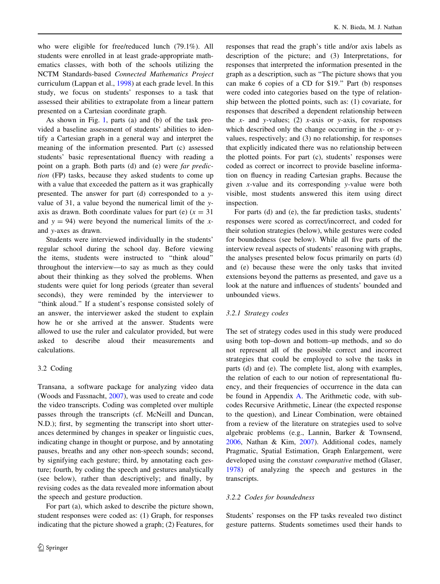who were eligible for free/reduced lunch (79.1%). All students were enrolled in at least grade-appropriate mathematics classes, with both of the schools utilizing the NCTM Standards-based Connected Mathematics Project curriculum (Lappan et al., [1998\)](#page-13-0) at each grade level. In this study, we focus on students' responses to a task that assessed their abilities to extrapolate from a linear pattern presented on a Cartesian coordinate graph.

As shown in Fig. [1,](#page-2-0) parts (a) and (b) of the task provided a baseline assessment of students' abilities to identify a Cartesian graph in a general way and interpret the meaning of the information presented. Part (c) assessed students' basic representational fluency with reading a point on a graph. Both parts (d) and (e) were far prediction (FP) tasks, because they asked students to come up with a value that exceeded the pattern as it was graphically presented. The answer for part (d) corresponded to a yvalue of 31, a value beyond the numerical limit of the yaxis as drawn. Both coordinate values for part (e)  $(x = 31)$ and  $y = 94$ ) were beyond the numerical limits of the xand y-axes as drawn.

Students were interviewed individually in the students' regular school during the school day. Before viewing the items, students were instructed to ''think aloud'' throughout the interview—to say as much as they could about their thinking as they solved the problems. When students were quiet for long periods (greater than several seconds), they were reminded by the interviewer to "think aloud." If a student's response consisted solely of an answer, the interviewer asked the student to explain how he or she arrived at the answer. Students were allowed to use the ruler and calculator provided, but were asked to describe aloud their measurements and calculations.

## 3.2 Coding

Transana, a software package for analyzing video data (Woods and Fassnacht, [2007](#page-13-0)), was used to create and code the video transcripts. Coding was completed over multiple passes through the transcripts (cf. McNeill and Duncan, N.D.); first, by segmenting the transcript into short utterances determined by changes in speaker or linguistic cues, indicating change in thought or purpose, and by annotating pauses, breaths and any other non-speech sounds; second, by signifying each gesture; third, by annotating each gesture; fourth, by coding the speech and gestures analytically (see below), rather than descriptively; and finally, by revising codes as the data revealed more information about the speech and gesture production.

For part (a), which asked to describe the picture shown, student responses were coded as: (1) Graph, for responses indicating that the picture showed a graph; (2) Features, for responses that read the graph's title and/or axis labels as description of the picture; and (3) Interpretations, for responses that interpreted the information presented in the graph as a description, such as ''The picture shows that you can make 6 copies of a CD for \$19.'' Part (b) responses were coded into categories based on the type of relationship between the plotted points, such as: (1) covariate, for responses that described a dependent relationship between the x- and y-values; (2) x-axis or y-axis, for responses which described only the change occurring in the  $x$ - or  $y$ values, respectively; and (3) no relationship, for responses that explicitly indicated there was no relationship between the plotted points. For part (c), students' responses were coded as correct or incorrect to provide baseline information on fluency in reading Cartesian graphs. Because the given x-value and its corresponding y-value were both visible, most students answered this item using direct inspection.

For parts (d) and (e), the far prediction tasks, students' responses were scored as correct/incorrect, and coded for their solution strategies (below), while gestures were coded for boundedness (see below). While all five parts of the interview reveal aspects of students' reasoning with graphs, the analyses presented below focus primarily on parts (d) and (e) because these were the only tasks that invited extensions beyond the patterns as presented, and gave us a look at the nature and influences of students' bounded and unbounded views.

## 3.2.1 Strategy codes

The set of strategy codes used in this study were produced using both top–down and bottom–up methods, and so do not represent all of the possible correct and incorrect strategies that could be employed to solve the tasks in parts (d) and (e). The complete list, along with examples, the relation of each to our notion of representational fluency, and their frequencies of occurrence in the data can be found in Appendix [A.](#page-10-0) The Arithmetic code, with subcodes Recursive Arithmetic, Linear (the expected response to the question), and Linear Combination, were obtained from a review of the literature on strategies used to solve algebraic problems (e.g., Lannin, Barker & Townsend, [2006](#page-13-0), Nathan & Kim, [2007\)](#page-13-0). Additional codes, namely Pragmatic, Spatial Estimation, Graph Enlargement, were developed using the constant comparative method (Glaser, [1978](#page-13-0)) of analyzing the speech and gestures in the transcripts.

## 3.2.2 Codes for boundedness

Students' responses on the FP tasks revealed two distinct gesture patterns. Students sometimes used their hands to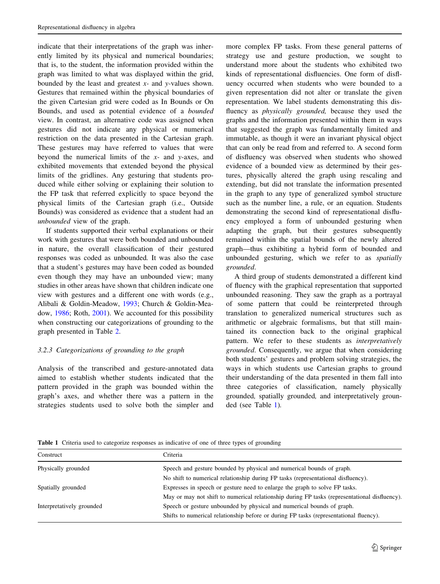<span id="page-4-0"></span>indicate that their interpretations of the graph was inherently limited by its physical and numerical boundaries; that is, to the student, the information provided within the graph was limited to what was displayed within the grid, bounded by the least and greatest  $x$ - and  $y$ -values shown. Gestures that remained within the physical boundaries of the given Cartesian grid were coded as In Bounds or On Bounds, and used as potential evidence of a bounded view. In contrast, an alternative code was assigned when gestures did not indicate any physical or numerical restriction on the data presented in the Cartesian graph. These gestures may have referred to values that were beyond the numerical limits of the  $x$ - and  $y$ -axes, and exhibited movements that extended beyond the physical limits of the gridlines. Any gesturing that students produced while either solving or explaining their solution to the FP task that referred explicitly to space beyond the physical limits of the Cartesian graph (i.e., Outside Bounds) was considered as evidence that a student had an unbounded view of the graph.

If students supported their verbal explanations or their work with gestures that were both bounded and unbounded in nature, the overall classification of their gestured responses was coded as unbounded. It was also the case that a student's gestures may have been coded as bounded even though they may have an unbounded view; many studies in other areas have shown that children indicate one view with gestures and a different one with words (e.g., Alibali & Goldin-Meadow, [1993](#page-12-0); Church & Goldin-Meadow, [1986;](#page-12-0) Roth, [2001\)](#page-13-0). We accounted for this possibility when constructing our categorizations of grounding to the graph presented in Table [2](#page-5-0).

#### 3.2.3 Categorizations of grounding to the graph

Analysis of the transcribed and gesture-annotated data aimed to establish whether students indicated that the pattern provided in the graph was bounded within the graph's axes, and whether there was a pattern in the strategies students used to solve both the simpler and

more complex FP tasks. From these general patterns of strategy use and gesture production, we sought to understand more about the students who exhibited two kinds of representational disfluencies. One form of disfluency occurred when students who were bounded to a given representation did not alter or translate the given representation. We label students demonstrating this disfluency as physically grounded, because they used the graphs and the information presented within them in ways that suggested the graph was fundamentally limited and immutable, as though it were an invariant physical object that can only be read from and referred to. A second form of disfluency was observed when students who showed evidence of a bounded view as determined by their gestures, physically altered the graph using rescaling and extending, but did not translate the information presented in the graph to any type of generalized symbol structure such as the number line, a rule, or an equation. Students demonstrating the second kind of representational disfluency employed a form of unbounded gesturing when adapting the graph, but their gestures subsequently remained within the spatial bounds of the newly altered graph—thus exhibiting a hybrid form of bounded and unbounded gesturing, which we refer to as spatially grounded.

A third group of students demonstrated a different kind of fluency with the graphical representation that supported unbounded reasoning. They saw the graph as a portrayal of some pattern that could be reinterpreted through translation to generalized numerical structures such as arithmetic or algebraic formalisms, but that still maintained its connection back to the original graphical pattern. We refer to these students as interpretatively grounded. Consequently, we argue that when considering both students' gestures and problem solving strategies, the ways in which students use Cartesian graphs to ground their understanding of the data presented in them fall into three categories of classification, namely physically grounded, spatially grounded, and interpretatively grounded (see Table 1).

Table 1 Criteria used to categorize responses as indicative of one of three types of grounding

| Construct                 | Criteria                                                                                      |  |
|---------------------------|-----------------------------------------------------------------------------------------------|--|
| Physically grounded       | Speech and gesture bounded by physical and numerical bounds of graph.                         |  |
|                           | No shift to numerical relationship during FP tasks (representational disfluency).             |  |
| Spatially grounded        | Expresses in speech or gesture need to enlarge the graph to solve FP tasks.                   |  |
|                           | May or may not shift to numerical relationship during FP tasks (representational disfluency). |  |
| Interpretatively grounded | Speech or gesture unbounded by physical and numerical bounds of graph.                        |  |
|                           | Shifts to numerical relationship before or during FP tasks (representational fluency).        |  |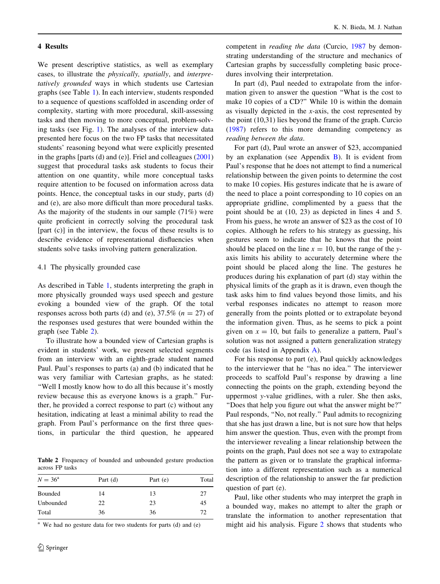#### <span id="page-5-0"></span>4 Results

We present descriptive statistics, as well as exemplary cases, to illustrate the physically, spatially, and interpretatively grounded ways in which students use Cartesian graphs (see Table [1\)](#page-4-0). In each interview, students responded to a sequence of questions scaffolded in ascending order of complexity, starting with more procedural, skill-assessing tasks and then moving to more conceptual, problem-solving tasks (see Fig. [1\)](#page-2-0). The analyses of the interview data presented here focus on the two FP tasks that necessitated students' reasoning beyond what were explicitly presented in the graphs [parts (d) and (e)]. Friel and colleagues ([2001\)](#page-13-0) suggest that procedural tasks ask students to focus their attention on one quantity, while more conceptual tasks require attention to be focused on information across data points. Hence, the conceptual tasks in our study, parts (d) and (e), are also more difficult than more procedural tasks. As the majority of the students in our sample (71%) were quite proficient in correctly solving the procedural task [part (c)] in the interview, the focus of these results is to describe evidence of representational disfluencies when students solve tasks involving pattern generalization.

#### 4.1 The physically grounded case

As described in Table [1,](#page-4-0) students interpreting the graph in more physically grounded ways used speech and gesture evoking a bounded view of the graph. Of the total responses across both parts (d) and (e),  $37.5\%$  ( $n = 27$ ) of the responses used gestures that were bounded within the graph (see Table 2).

To illustrate how a bounded view of Cartesian graphs is evident in students' work, we present selected segments from an interview with an eighth-grade student named Paul. Paul's responses to parts (a) and (b) indicated that he was very familiar with Cartesian graphs, as he stated: ''Well I mostly know how to do all this because it's mostly review because this as everyone knows is a graph.'' Further, he provided a correct response to part (c) without any hesitation, indicating at least a minimal ability to read the graph. From Paul's performance on the first three questions, in particular the third question, he appeared

Table 2 Frequency of bounded and unbounded gesture production across FP tasks

| $N = 36^{\rm a}$ | Part $(d)$ | Part $(e)$ | Total |
|------------------|------------|------------|-------|
| Bounded          | 14         | 13         | 27    |
| Unbounded        | 22         | 23         | 45    |
| Total            | 36         | 36         | 72    |

<sup>a</sup> We had no gesture data for two students for parts (d) and (e)

competent in reading the data (Curcio, [1987](#page-13-0) by demonstrating understanding of the structure and mechanics of Cartesian graphs by successfully completing basic procedures involving their interpretation.

In part (d), Paul needed to extrapolate from the information given to answer the question ''What is the cost to make 10 copies of a CD?'' While 10 is within the domain as visually depicted in the x-axis, the cost represented by the point (10,31) lies beyond the frame of the graph. Curcio [\(1987](#page-13-0)) refers to this more demanding competency as reading between the data.

For part (d), Paul wrote an answer of \$23, accompanied by an explanation (see Appendix  $\overline{B}$ ). It is evident from Paul's response that he does not attempt to find a numerical relationship between the given points to determine the cost to make 10 copies. His gestures indicate that he is aware of the need to place a point corresponding to 10 copies on an appropriate gridline, complimented by a guess that the point should be at (10, 23) as depicted in lines 4 and 5. From his guess, he wrote an answer of \$23 as the cost of 10 copies. Although he refers to his strategy as guessing, his gestures seem to indicate that he knows that the point should be placed on the line  $x = 10$ , but the range of the yaxis limits his ability to accurately determine where the point should be placed along the line. The gestures he produces during his explanation of part (d) stay within the physical limits of the graph as it is drawn, even though the task asks him to find values beyond those limits, and his verbal responses indicates no attempt to reason more generally from the points plotted or to extrapolate beyond the information given. Thus, as he seems to pick a point given on  $x = 10$ , but fails to generalize a pattern, Paul's solution was not assigned a pattern generalization strategy code (as listed in Appendix [A](#page-10-0)).

For his response to part (e), Paul quickly acknowledges to the interviewer that he ''has no idea.'' The interviewer proceeds to scaffold Paul's response by drawing a line connecting the points on the graph, extending beyond the uppermost y-value gridlines, with a ruler. She then asks, ''Does that help you figure out what the answer might be?'' Paul responds, ''No, not really.'' Paul admits to recognizing that she has just drawn a line, but is not sure how that helps him answer the question. Thus, even with the prompt from the interviewer revealing a linear relationship between the points on the graph, Paul does not see a way to extrapolate the pattern as given or to translate the graphical information into a different representation such as a numerical description of the relationship to answer the far prediction question of part (e).

Paul, like other students who may interpret the graph in a bounded way, makes no attempt to alter the graph or translate the information to another representation that might aid his analysis. Figure [2](#page-6-0) shows that students who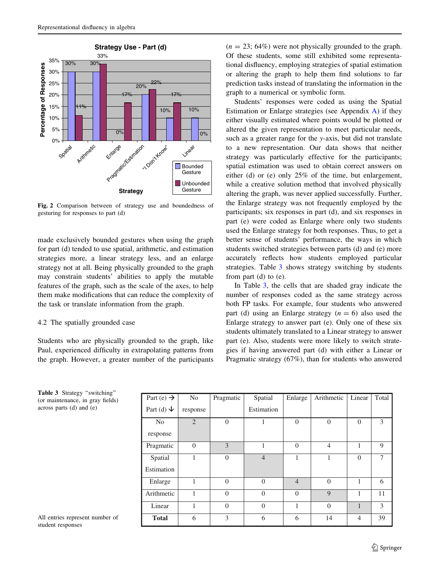<span id="page-6-0"></span>

Fig. 2 Comparison between of strategy use and boundedness of gesturing for responses to part (d)

made exclusively bounded gestures when using the graph for part (d) tended to use spatial, arithmetic, and estimation strategies more, a linear strategy less, and an enlarge strategy not at all. Being physically grounded to the graph may constrain students' abilities to apply the mutable features of the graph, such as the scale of the axes, to help them make modifications that can reduce the complexity of the task or translate information from the graph.

#### 4.2 The spatially grounded case

Students who are physically grounded to the graph, like Paul, experienced difficulty in extrapolating patterns from the graph. However, a greater number of the participants  $(n = 23; 64\%)$  were not physically grounded to the graph. Of these students, some still exhibited some representational disfluency, employing strategies of spatial estimation or altering the graph to help them find solutions to far prediction tasks instead of translating the information in the graph to a numerical or symbolic form.

Students' responses were coded as using the Spatial Estimation or Enlarge strategies (see Appendix [A\)](#page-10-0) if they either visually estimated where points would be plotted or altered the given representation to meet particular needs, such as a greater range for the y-axis, but did not translate to a new representation. Our data shows that neither strategy was particularly effective for the participants; spatial estimation was used to obtain correct answers on either (d) or (e) only 25% of the time, but enlargement, while a creative solution method that involved physically altering the graph, was never applied successfully. Further, the Enlarge strategy was not frequently employed by the participants; six responses in part (d), and six responses in part (e) were coded as Enlarge where only two students used the Enlarge strategy for both responses. Thus, to get a better sense of students' performance, the ways in which students switched strategies between parts (d) and (e) more accurately reflects how students employed particular strategies. Table 3 shows strategy switching by students from part (d) to (e).

In Table 3, the cells that are shaded gray indicate the number of responses coded as the same strategy across both FP tasks. For example, four students who answered part (d) using an Enlarge strategy  $(n = 6)$  also used the Enlarge strategy to answer part (e). Only one of these six students ultimately translated to a Linear strategy to answer part (e). Also, students were more likely to switch strategies if having answered part (d) with either a Linear or Pragmatic strategy (67%), than for students who answered

| Part (e) $\rightarrow$ | N <sub>0</sub>        | Pragmatic     | Spatial        | Enlarge        | Arithmetic     | Linear   | Total |
|------------------------|-----------------------|---------------|----------------|----------------|----------------|----------|-------|
| Part (d) $\downarrow$  | response              |               | Estimation     |                |                |          |       |
| N <sub>o</sub>         | $\mathcal{D}_{\cdot}$ | $\Omega$      |                | $\Omega$       | $\Omega$       | $\Omega$ | 3     |
| response               |                       |               |                |                |                |          |       |
| Pragmatic              | $\Omega$              | $\mathcal{E}$ | 1              | $\Omega$       | $\overline{4}$ | 1        | 9     |
| Spatial                |                       | $\theta$      | $\overline{4}$ | 1              |                | $\Omega$ | 7     |
| Estimation             |                       |               |                |                |                |          |       |
| Enlarge                |                       | $\Omega$      | $\Omega$       | $\overline{4}$ | $\Omega$       | 1        | 6     |
| Arithmetic             |                       | $\theta$      | $\theta$       | $\theta$       | 9              | 1        | 11    |
| Linear                 |                       | $\theta$      | $\Omega$       | 1              | $\Omega$       |          | 3     |
| <b>Total</b>           | 6                     | 3             | 6              | 6              | 14             | 4        | 39    |

Table 3 Strategy "switching" (or maintenance, in gray fields) across parts (d) and (e)

All entries represent number of student responses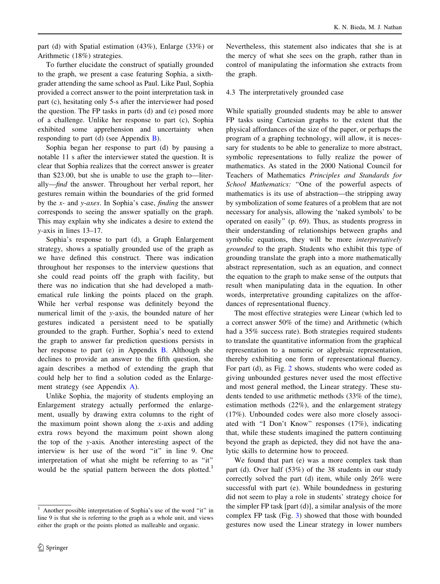part (d) with Spatial estimation (43%), Enlarge (33%) or Arithmetic (18%) strategies.

To further elucidate the construct of spatially grounded to the graph, we present a case featuring Sophia, a sixthgrader attending the same school as Paul. Like Paul, Sophia provided a correct answer to the point interpretation task in part (c), hesitating only 5-s after the interviewer had posed the question. The FP tasks in parts (d) and (e) posed more of a challenge. Unlike her response to part (c), Sophia exhibited some apprehension and uncertainty when responding to part (d) (see Appendix  $\overline{B}$ ).

Sophia began her response to part (d) by pausing a notable 11 s after the interviewer stated the question. It is clear that Sophia realizes that the correct answer is greater than \$23.00, but she is unable to use the graph to—literally—find the answer. Throughout her verbal report, her gestures remain within the boundaries of the grid formed by the x- and y-axes. In Sophia's case, finding the answer corresponds to seeing the answer spatially on the graph. This may explain why she indicates a desire to extend the y-axis in lines 13–17.

Sophia's response to part (d), a Graph Enlargement strategy, shows a spatially grounded use of the graph as we have defined this construct. There was indication throughout her responses to the interview questions that she could read points off the graph with facility, but there was no indication that she had developed a mathematical rule linking the points placed on the graph. While her verbal response was definitely beyond the numerical limit of the y-axis, the bounded nature of her gestures indicated a persistent need to be spatially grounded to the graph. Further, Sophia's need to extend the graph to answer far prediction questions persists in her response to part (e) in Appendix [B.](#page-11-0) Although she declines to provide an answer to the fifth question, she again describes a method of extending the graph that could help her to find a solution coded as the Enlargement strategy (see Appendix [A\)](#page-10-0).

Unlike Sophia, the majority of students employing an Enlargement strategy actually performed the enlargement, usually by drawing extra columns to the right of the maximum point shown along the  $x$ -axis and adding extra rows beyond the maximum point shown along the top of the y-axis. Another interesting aspect of the interview is her use of the word "it" in line 9. One interpretation of what she might be referring to as "it" would be the spatial pattern between the dots plotted.<sup>1</sup>

Nevertheless, this statement also indicates that she is at the mercy of what she sees on the graph, rather than in control of manipulating the information she extracts from the graph.

#### 4.3 The interpretatively grounded case

While spatially grounded students may be able to answer FP tasks using Cartesian graphs to the extent that the physical affordances of the size of the paper, or perhaps the program of a graphing technology, will allow, it is necessary for students to be able to generalize to more abstract, symbolic representations to fully realize the power of mathematics. As stated in the 2000 National Council for Teachers of Mathematics Principles and Standards for School Mathematics: "One of the powerful aspects of mathematics is its use of abstraction—the stripping away by symbolization of some features of a problem that are not necessary for analysis, allowing the 'naked symbols' to be operated on easily'' (p. 69). Thus, as students progress in their understanding of relationships between graphs and symbolic equations, they will be more interpretatively grounded to the graph. Students who exhibit this type of grounding translate the graph into a more mathematically abstract representation, such as an equation, and connect the equation to the graph to make sense of the outputs that result when manipulating data in the equation. In other words, interpretative grounding capitalizes on the affordances of representational fluency.

The most effective strategies were Linear (which led to a correct answer 50% of the time) and Arithmetic (which had a 35% success rate). Both strategies required students to translate the quantitative information from the graphical representation to a numeric or algebraic representation, thereby exhibiting one form of representational fluency. For part (d), as Fig. [2](#page-6-0) shows, students who were coded as giving unbounded gestures never used the most effective and most general method, the Linear strategy. These students tended to use arithmetic methods (33% of the time), estimation methods (22%), and the enlargement strategy (17%). Unbounded codes were also more closely associated with ''I Don't Know'' responses (17%), indicating that, while these students imagined the pattern continuing beyond the graph as depicted, they did not have the analytic skills to determine how to proceed.

We found that part (e) was a more complex task than part (d). Over half (53%) of the 38 students in our study correctly solved the part (d) item, while only 26% were successful with part (e). While boundedness in gesturing did not seem to play a role in students' strategy choice for the simpler FP task [part (d)], a similar analysis of the more complex FP task (Fig. [3](#page-8-0)) showed that those with bounded gestures now used the Linear strategy in lower numbers

 $1$  Another possible interpretation of Sophia's use of the word "it" in line 9 is that she is referring to the graph as a whole unit, and views either the graph or the points plotted as malleable and organic.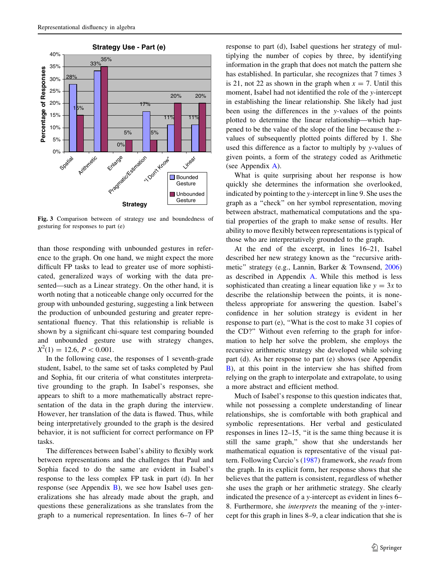<span id="page-8-0"></span>

Fig. 3 Comparison between of strategy use and boundedness of gesturing for responses to part (e)

than those responding with unbounded gestures in reference to the graph. On one hand, we might expect the more difficult FP tasks to lead to greater use of more sophisticated, generalized ways of working with the data presented—such as a Linear strategy. On the other hand, it is worth noting that a noticeable change only occurred for the group with unbounded gesturing, suggesting a link between the production of unbounded gesturing and greater representational fluency. That this relationship is reliable is shown by a significant chi-square test comparing bounded and unbounded gesture use with strategy changes,  $X^2(1) = 12.6, P < 0.001.$ 

In the following case, the responses of 1 seventh-grade student, Isabel, to the same set of tasks completed by Paul and Sophia, fit our criteria of what constitutes interpretative grounding to the graph. In Isabel's responses, she appears to shift to a more mathematically abstract representation of the data in the graph during the interview. However, her translation of the data is flawed. Thus, while being interpretatively grounded to the graph is the desired behavior, it is not sufficient for correct performance on FP tasks.

The differences between Isabel's ability to flexibly work between representations and the challenges that Paul and Sophia faced to do the same are evident in Isabel's response to the less complex FP task in part (d). In her response (see Appendix  $\overline{B}$ ), we see how Isabel uses generalizations she has already made about the graph, and questions these generalizations as she translates from the graph to a numerical representation. In lines 6–7 of her response to part (d), Isabel questions her strategy of multiplying the number of copies by three, by identifying information in the graph that does not match the pattern she has established. In particular, she recognizes that 7 times 3 is 21, not 22 as shown in the graph when  $x = 7$ . Until this moment, Isabel had not identified the role of the y-intercept in establishing the linear relationship. She likely had just been using the differences in the y-values of the points plotted to determine the linear relationship—which happened to be the value of the slope of the line because the xvalues of subsequently plotted points differed by 1. She used this difference as a factor to multiply by y-values of given points, a form of the strategy coded as Arithmetic (see Appendix [A](#page-10-0)).

What is quite surprising about her response is how quickly she determines the information she overlooked, indicated by pointing to the y-intercept in line 9. She uses the graph as a ''check'' on her symbol representation, moving between abstract, mathematical computations and the spatial properties of the graph to make sense of results. Her ability to move flexibly between representations is typical of those who are interpretatively grounded to the graph.

At the end of the excerpt, in lines 16–21, Isabel described her new strategy known as the ''recursive arithmetic'' strategy (e.g., Lannin, Barker & Townsend, [2006\)](#page-13-0) as described in Appendix [A.](#page-10-0) While this method is less sophisticated than creating a linear equation like  $y = 3x$  to describe the relationship between the points, it is nonetheless appropriate for answering the question. Isabel's confidence in her solution strategy is evident in her response to part (e), ''What is the cost to make 31 copies of the CD?'' Without even referring to the graph for information to help her solve the problem, she employs the recursive arithmetic strategy she developed while solving part (d). As her response to part (e) shows (see Appendix [B\)](#page-11-0), at this point in the interview she has shifted from relying on the graph to interpolate and extrapolate, to using a more abstract and efficient method.

Much of Isabel's response to this question indicates that, while not possessing a complete understanding of linear relationships, she is comfortable with both graphical and symbolic representations. Her verbal and gesticulated responses in lines 12–15, ''it is the same thing because it is still the same graph,'' show that she understands her mathematical equation is representative of the visual pattern. Following Curcio's [\(1987](#page-13-0)) framework, she reads from the graph. In its explicit form, her response shows that she believes that the pattern is consistent, regardless of whether she uses the graph or her arithmetic strategy. She clearly indicated the presence of a y-intercept as evident in lines 6– 8. Furthermore, she interprets the meaning of the y-intercept for this graph in lines 8–9, a clear indication that she is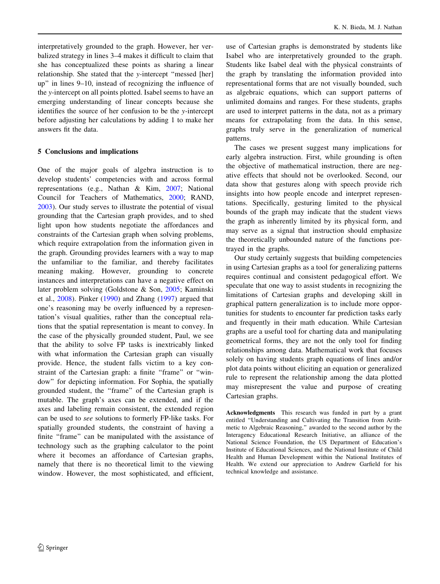interpretatively grounded to the graph. However, her verbalized strategy in lines 3–4 makes it difficult to claim that she has conceptualized these points as sharing a linear relationship. She stated that the y-intercept ''messed [her] up'' in lines 9–10, instead of recognizing the influence of the y-intercept on all points plotted. Isabel seems to have an emerging understanding of linear concepts because she identifies the source of her confusion to be the y-intercept before adjusting her calculations by adding 1 to make her answers fit the data.

#### 5 Conclusions and implications

One of the major goals of algebra instruction is to develop students' competencies with and across formal representations (e.g., Nathan & Kim, [2007;](#page-13-0) National Council for Teachers of Mathematics, [2000;](#page-13-0) RAND, [2003\)](#page-13-0). Our study serves to illustrate the potential of visual grounding that the Cartesian graph provides, and to shed light upon how students negotiate the affordances and constraints of the Cartesian graph when solving problems, which require extrapolation from the information given in the graph. Grounding provides learners with a way to map the unfamiliar to the familiar, and thereby facilitates meaning making. However, grounding to concrete instances and interpretations can have a negative effect on later problem solving (Goldstone & Son, [2005;](#page-13-0) Kaminski et al., [2008](#page-13-0)). Pinker ([1990\)](#page-13-0) and Zhang ([1997\)](#page-13-0) argued that one's reasoning may be overly influenced by a representation's visual qualities, rather than the conceptual relations that the spatial representation is meant to convey. In the case of the physically grounded student, Paul, we see that the ability to solve FP tasks is inextricably linked with what information the Cartesian graph can visually provide. Hence, the student falls victim to a key constraint of the Cartesian graph: a finite "frame" or "window'' for depicting information. For Sophia, the spatially grounded student, the ''frame'' of the Cartesian graph is mutable. The graph's axes can be extended, and if the axes and labeling remain consistent, the extended region can be used to see solutions to formerly FP-like tasks. For spatially grounded students, the constraint of having a finite "frame" can be manipulated with the assistance of technology such as the graphing calculator to the point where it becomes an affordance of Cartesian graphs, namely that there is no theoretical limit to the viewing window. However, the most sophisticated, and efficient,

use of Cartesian graphs is demonstrated by students like Isabel who are interpretatively grounded to the graph. Students like Isabel deal with the physical constraints of the graph by translating the information provided into representational forms that are not visually bounded, such as algebraic equations, which can support patterns of unlimited domains and ranges. For these students, graphs are used to interpret patterns in the data, not as a primary means for extrapolating from the data. In this sense, graphs truly serve in the generalization of numerical patterns.

The cases we present suggest many implications for early algebra instruction. First, while grounding is often the objective of mathematical instruction, there are negative effects that should not be overlooked. Second, our data show that gestures along with speech provide rich insights into how people encode and interpret representations. Specifically, gesturing limited to the physical bounds of the graph may indicate that the student views the graph as inherently limited by its physical form, and may serve as a signal that instruction should emphasize the theoretically unbounded nature of the functions portrayed in the graphs.

Our study certainly suggests that building competencies in using Cartesian graphs as a tool for generalizing patterns requires continual and consistent pedagogical effort. We speculate that one way to assist students in recognizing the limitations of Cartesian graphs and developing skill in graphical pattern generalization is to include more opportunities for students to encounter far prediction tasks early and frequently in their math education. While Cartesian graphs are a useful tool for charting data and manipulating geometrical forms, they are not the only tool for finding relationships among data. Mathematical work that focuses solely on having students graph equations of lines and/or plot data points without eliciting an equation or generalized rule to represent the relationship among the data plotted may misrepresent the value and purpose of creating Cartesian graphs.

Acknowledgments This research was funded in part by a grant entitled ''Understanding and Cultivating the Transition from Arithmetic to Algebraic Reasoning,'' awarded to the second author by the Interagency Educational Research Initiative, an alliance of the National Science Foundation, the US Department of Education's Institute of Educational Sciences, and the National Institute of Child Health and Human Development within the National Institutes of Health. We extend our appreciation to Andrew Garfield for his technical knowledge and assistance.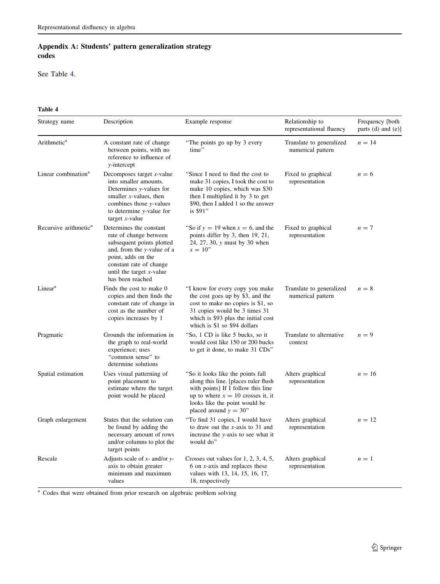## <span id="page-10-0"></span>Appendix A: Students' pattern generalization strategy codes

## See Table 4.

## Table 4

| Strategy name                     | Description                                                                                                                                                                                                      | Example response                                                                                                                                                                                                     | Relationship to<br>representational fluency   | Frequency [both<br>parts (d) and (e)] |
|-----------------------------------|------------------------------------------------------------------------------------------------------------------------------------------------------------------------------------------------------------------|----------------------------------------------------------------------------------------------------------------------------------------------------------------------------------------------------------------------|-----------------------------------------------|---------------------------------------|
| Arithmetic <sup>a</sup>           | A constant rate of change<br>between points, with no<br>reference to influence of<br>y-intercept                                                                                                                 | "The points go up by 3 every"<br>time"                                                                                                                                                                               | Translate to generalized<br>numerical pattern | $n = 14$                              |
| Linear combination <sup>a</sup>   | Decomposes target $x$ -value<br>into smaller amounts.<br>Determines y-values for<br>smaller $x$ -values, then<br>combines those y-values<br>to determine y-value for<br>target $x$ -value                        | "Since I need to find the cost to<br>make 31 copies, I took the cost to<br>make 10 copies, which was \$30<br>then I multiplied it by 3 to get<br>\$90, then I added 1 so the answer<br>is \$91"                      | Fixed to graphical<br>representation          | $n = 6$                               |
| Recursive arithmetic <sup>a</sup> | Determines the constant<br>rate of change between<br>subsequent points plotted<br>and, from the y-value of a<br>point, adds on the<br>constant rate of change<br>until the target $x$ -value<br>has been reached | "So if $y = 19$ when $x = 6$ , and the<br>points differ by 3, then 19, 21,<br>24, 27, 30, y must by 30 when<br>$x = 10$ "                                                                                            | Fixed to graphical<br>representation          | $n=7$                                 |
| Linear <sup>a</sup>               | Finds the cost to make 0<br>copies and then finds the<br>constant rate of change in<br>cost as the number of<br>copies increases by 1                                                                            | "I know for every copy you make<br>the cost goes up by \$3, and the<br>cost to make no copies is \$1, so<br>31 copies would be 3 times 31<br>which is \$93 plus the initial cost<br>which is \$1 so \$94 dollars     | Translate to generalized<br>numerical pattern | $n = 8$                               |
| Pragmatic                         | Grounds the information in<br>the graph to real-world<br>experience; uses<br>"common sense" to<br>determine solutions                                                                                            | "So, 1 CD is like 5 bucks, so it<br>would cost like 150 or 200 bucks<br>to get it done, to make 31 CDs"                                                                                                              | Translate to alternative<br>context           | $n = 9$                               |
| Spatial estimation                | Uses visual patterning of<br>point placement to<br>estimate where the target<br>point would be placed                                                                                                            | "So it looks like the points fall<br>along this line. [places ruler flush]<br>with points] If I follow this line<br>up to where $x = 10$ crosses it, it<br>looks like the point would be<br>placed around $y = 30$ " | Alters graphical<br>representation            | $n = 16$                              |
| Graph enlargement                 | States that the solution can<br>be found by adding the<br>necessary amount of rows<br>and/or columns to plot the<br>target points                                                                                | "To find 31 copies, I would have<br>to draw out the $x$ -axis to 31 and<br>increase the y-axis to see what it<br>would do"                                                                                           | Alters graphical<br>representation            | $n=12$                                |
| Rescale                           | Adjusts scale of $x$ - and/or y-<br>axis to obtain greater<br>minimum and maximum<br>values                                                                                                                      | Crosses out values for $1, 2, 3, 4, 5$ ,<br>6 on $x$ -axis and replaces these<br>values with 13, 14, 15, 16, 17,<br>18, respectively                                                                                 | Alters graphical<br>representation            | $n=1$                                 |

<sup>a</sup> Codes that were obtained from prior research on algebraic problem solving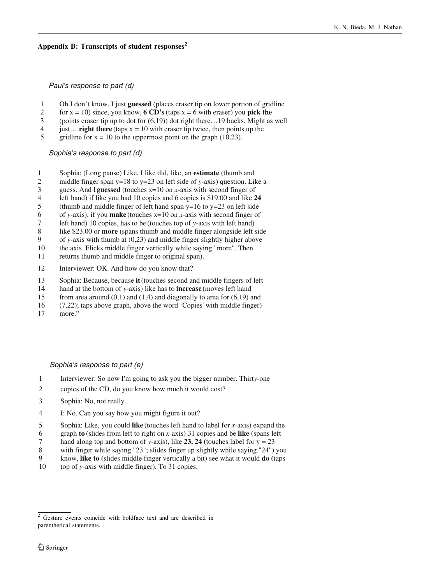## <span id="page-11-0"></span>Appendix B: Transcripts of student responses<sup>2</sup>

## *Paul's response to part (d)*

- 1 Oh I don't know. I just **guessed** (places eraser tip on lower portion of gridline  $2 \text{ for } x = 10$ ) since, you know. **6 CD's** (taps  $x = 6$  with eraser) you **pick the**
- 2 for  $x = 10$ ) since, you know, **6 CD's** (taps  $x = 6$  with eraser) you **pick the**  $\frac{3}{2}$  (points eraser tip up to dot for (6.19)) dot right there... 19 bucks. Might as
- (points eraser tip up to dot for  $(6,19)$ ) dot right there...19 bucks. Might as well
- 4 just...**. right there** (taps  $x = 10$  with eraser tip twice, then points up the original string for  $x = 10$  to the unpermost point on the graph (10.23)
- gridline for  $x = 10$  to the uppermost point on the graph (10,23).

## *Sophia's response to part (d)*

- 1 Sophia: (Long pause) Like, I like did, like, an **estimate** (thumb and 2 middle finger span  $y=18$  to  $y=23$  on left side of y-axis) question. Li
- 2 middle finger span y=18 to y=23 on left side of *y*-axis ) question. Like a guess. And **I guessed** (touches x=10 on *x*-axis with second finger of
- 3 guess. And I **guessed** (touches x=10 on *x-* axis with second finger of
- 4 left hand) if like you had 10 copies and 6 copies is \$19.00 and like  $24$ <br>5 (thumb and middle finger of left hand span  $y=16$  to  $y=23$  on left side
- (thumb and middle finger of left hand span  $y=16$  to  $y=23$  on left side
- 6 of *y*-axis), if you **make** (touches  $x=10$  on *x*-axis with second finger of
- 7 left hand) 10 copies, has to be (touches top of *y-* axis with left hand)
- 8 like \$23.00 or **more** (spans thumb and middle finger alongside left side
- 9 of *y*-axis with thumb at (0,23) and middle finger slightly higher above
- 10 the axis. Flicks middle finger vertically while saying "more". Then
- 11 returns thumb and middle finger to original span).
- 12 Interviewer: OK. And how do you know that?
- 13 Sophia: Because, because it (touches second and middle fingers of left
- 14 hand at the bottom of *y-* axis) like has to **increase** (moves left hand
- 15 from area around (0,1) and (1,4) and diagonally to area for (6,19) and
- 16 (7,22); taps above graph, above the word 'Copies' with middle finger)
- 17 more."

## *Sophia's response to part (e)*

- 1 Interviewer: So now I'm going to ask you the bigger number. Thirty-one
- 2 copies of the CD, do you know how much it would cost?
- 3 Sophia: No, not really.
- 4 I: No. Can you say how you might figure it out?
- 5 Sophia: Like, you could **like** (touches left hand to label for *x-* axis) expand the
- 6 graph **to** (slides from left to right on *x-* axis) 31 copies and be **like (** spans left
- 7 hand along top and bottom of *y*-axis), like **23, 24** (touches label for  $y = 23$
- 8 with finger while saying "23"; slides finger up slightly while saying "24") you
- 9 know, **like to (** slides middle finger vertically a bit) see what it would **do (** taps
- 10 top of *y-* axis with middle finger). To 31 copies.

Gesture events coincide with boldface text and are described in parenthetical statements.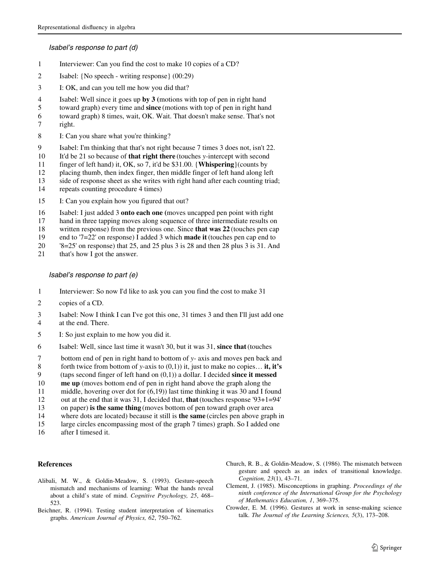#### <span id="page-12-0"></span>*Isabel's response to part (d)*

- 1 Interviewer: Can you find the cost to make 10 copies of a CD?
- 2 Isabel: {No speech writing response} (00:29)
- 3 I: OK, and can you tell me how you did that?
- 4 Isabel: Well since it goes up **by 3 (**motions with top of pen in right hand
- 5 toward graph) every time and **since** (motions with top of pen in right hand
- 6 toward graph) 8 times, wait, OK. Wait. That doesn't make sense. That's not 7 right.
- 8 I: Can you share what you're thinking?
- 9 Isabel: I'm thinking that that's not right because 7 times 3 does not, isn't 22.
- 10 It'd be 21 so because of **that right there** (touches *y-*intercept with second
- 11 finger of left hand) it, OK, so 7, it'd be \$31.00. {**Whispering**}(counts by
- 12 placing thumb, then index finger, then middle finger of left hand along left
- 13 side of response sheet as she writes with right hand after each counting triad;
- 14 repeats counting procedure 4 times)
- 15 I: Can you explain how you figured that out?
- 16 Isabel: I just added 3 **onto each one (**moves uncapped pen point with right
- 17 hand in three tapping moves along sequence of three intermediate results on
- 18 written response) from the previous one. Since **that was 22** (touches pen cap
- 19 end to '7=22' on response) I added 3 which **made it** (touches pen cap end to
- 20 '8=25' on response) that 25, and 25 plus 3 is 28 and then 28 plus 3 is 31. And
- that's how I got the answer.

#### *Isabel's response to part (e)*

- 1 Interviewer: So now I'd like to ask you can you find the cost to make 31
- 2 copies of a CD.
- 3 Isabel: Now I think I can I've got this one, 31 times 3 and then I'll just add one 4 at the end. There.
- 5 I: So just explain to me how you did it.
- 6 Isabel: Well, since last time it wasn't 30, but it was 31, **since that**(touches
- 7 bottom end of pen in right hand to bottom of *y-* axis and moves pen back and
- 8 forth twice from bottom of *y-*axis to (0,1)) it, just to make no copies… **it, it's**
- 9 (taps second finger of left hand on (0,1)) a dollar. I decided **since it messed**
- 10 **me up** (moves bottom end of pen in right hand above the graph along the
- 11 middle, hovering over dot for (6,19)) last time thinking it was 30 and I found
- 12 out at the end that it was 31, I decided that, **that**(touches response '93+1=94'
- 13 on paper) **is the same thing** (moves bottom of pen toward graph over area
- 14 where dots are located) because it still is **the same** (circles pen above graph in
- 15 large circles encompassing most of the graph 7 times) graph. So I added one
- 16 after I timesed it.

#### References

- Alibali, M. W., & Goldin-Meadow, S. (1993). Gesture-speech mismatch and mechanisms of learning: What the hands reveal about a child's state of mind. Cognitive Psychology, 25, 468– 523.
- Beichner, R. (1994). Testing student interpretation of kinematics graphs. American Journal of Physics, 62, 750–762.
- Church, R. B., & Goldin-Meadow, S. (1986). The mismatch between gesture and speech as an index of transitional knowledge. Cognition, 23(1), 43–71.
- Clement, J. (1985). Misconceptions in graphing. Proceedings of the ninth conference of the International Group for the Psychology of Mathematics Education, 1, 369–375.
- Crowder, E. M. (1996). Gestures at work in sense-making science talk. The Journal of the Learning Sciences, 5(3), 173–208.